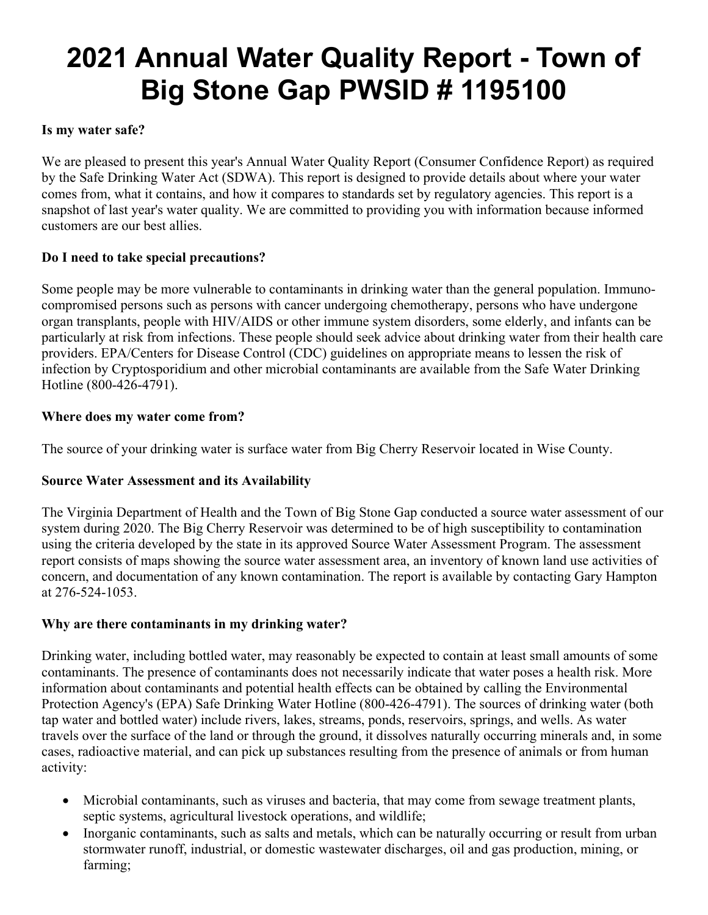# **2021 Annual Water Quality Report - Town of Big Stone Gap PWSID # 1195100**

#### **Is my water safe?**

We are pleased to present this year's Annual Water Quality Report (Consumer Confidence Report) as required by the Safe Drinking Water Act (SDWA). This report is designed to provide details about where your water comes from, what it contains, and how it compares to standards set by regulatory agencies. This report is a snapshot of last year's water quality. We are committed to providing you with information because informed customers are our best allies.

### **Do I need to take special precautions?**

Some people may be more vulnerable to contaminants in drinking water than the general population. Immunocompromised persons such as persons with cancer undergoing chemotherapy, persons who have undergone organ transplants, people with HIV/AIDS or other immune system disorders, some elderly, and infants can be particularly at risk from infections. These people should seek advice about drinking water from their health care providers. EPA/Centers for Disease Control (CDC) guidelines on appropriate means to lessen the risk of infection by Cryptosporidium and other microbial contaminants are available from the Safe Water Drinking Hotline (800-426-4791).

#### **Where does my water come from?**

The source of your drinking water is surface water from Big Cherry Reservoir located in Wise County.

### **Source Water Assessment and its Availability**

The Virginia Department of Health and the Town of Big Stone Gap conducted a source water assessment of our system during 2020. The Big Cherry Reservoir was determined to be of high susceptibility to contamination using the criteria developed by the state in its approved Source Water Assessment Program. The assessment report consists of maps showing the source water assessment area, an inventory of known land use activities of concern, and documentation of any known contamination. The report is available by contacting Gary Hampton at 276-524-1053.

#### **Why are there contaminants in my drinking water?**

Drinking water, including bottled water, may reasonably be expected to contain at least small amounts of some contaminants. The presence of contaminants does not necessarily indicate that water poses a health risk. More information about contaminants and potential health effects can be obtained by calling the Environmental Protection Agency's (EPA) Safe Drinking Water Hotline (800-426-4791). The sources of drinking water (both tap water and bottled water) include rivers, lakes, streams, ponds, reservoirs, springs, and wells. As water travels over the surface of the land or through the ground, it dissolves naturally occurring minerals and, in some cases, radioactive material, and can pick up substances resulting from the presence of animals or from human activity:

- Microbial contaminants, such as viruses and bacteria, that may come from sewage treatment plants, septic systems, agricultural livestock operations, and wildlife;
- Inorganic contaminants, such as salts and metals, which can be naturally occurring or result from urban stormwater runoff, industrial, or domestic wastewater discharges, oil and gas production, mining, or farming;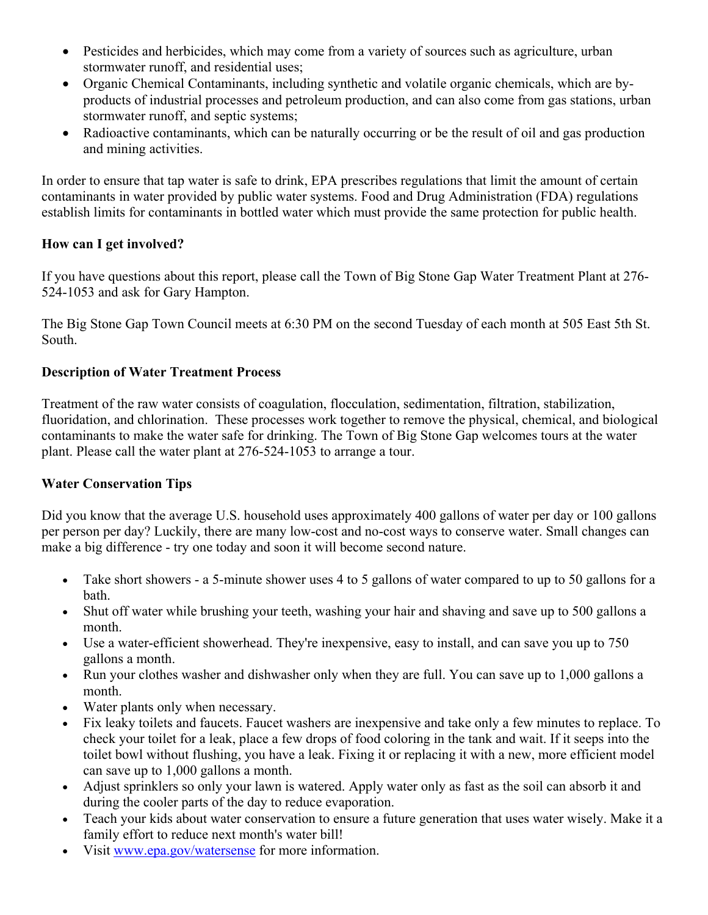- Pesticides and herbicides, which may come from a variety of sources such as agriculture, urban stormwater runoff, and residential uses;
- Organic Chemical Contaminants, including synthetic and volatile organic chemicals, which are byproducts of industrial processes and petroleum production, and can also come from gas stations, urban stormwater runoff, and septic systems;
- Radioactive contaminants, which can be naturally occurring or be the result of oil and gas production and mining activities.

In order to ensure that tap water is safe to drink, EPA prescribes regulations that limit the amount of certain contaminants in water provided by public water systems. Food and Drug Administration (FDA) regulations establish limits for contaminants in bottled water which must provide the same protection for public health.

### **How can I get involved?**

If you have questions about this report, please call the Town of Big Stone Gap Water Treatment Plant at 276- 524-1053 and ask for Gary Hampton.

The Big Stone Gap Town Council meets at 6:30 PM on the second Tuesday of each month at 505 East 5th St. South.

# **Description of Water Treatment Process**

Treatment of the raw water consists of coagulation, flocculation, sedimentation, filtration, stabilization, fluoridation, and chlorination. These processes work together to remove the physical, chemical, and biological contaminants to make the water safe for drinking. The Town of Big Stone Gap welcomes tours at the water plant. Please call the water plant at 276-524-1053 to arrange a tour.

### **Water Conservation Tips**

Did you know that the average U.S. household uses approximately 400 gallons of water per day or 100 gallons per person per day? Luckily, there are many low-cost and no-cost ways to conserve water. Small changes can make a big difference - try one today and soon it will become second nature.

- Take short showers a 5-minute shower uses 4 to 5 gallons of water compared to up to 50 gallons for a bath.
- Shut off water while brushing your teeth, washing your hair and shaving and save up to 500 gallons a month.
- Use a water-efficient showerhead. They're inexpensive, easy to install, and can save you up to 750 gallons a month.
- Run your clothes washer and dishwasher only when they are full. You can save up to 1,000 gallons a month.
- Water plants only when necessary.
- Fix leaky toilets and faucets. Faucet washers are inexpensive and take only a few minutes to replace. To check your toilet for a leak, place a few drops of food coloring in the tank and wait. If it seeps into the toilet bowl without flushing, you have a leak. Fixing it or replacing it with a new, more efficient model can save up to 1,000 gallons a month.
- Adjust sprinklers so only your lawn is watered. Apply water only as fast as the soil can absorb it and during the cooler parts of the day to reduce evaporation.
- Teach your kids about water conservation to ensure a future generation that uses water wisely. Make it a family effort to reduce next month's water bill!
- Visit www.epa.gov/watersense for more information.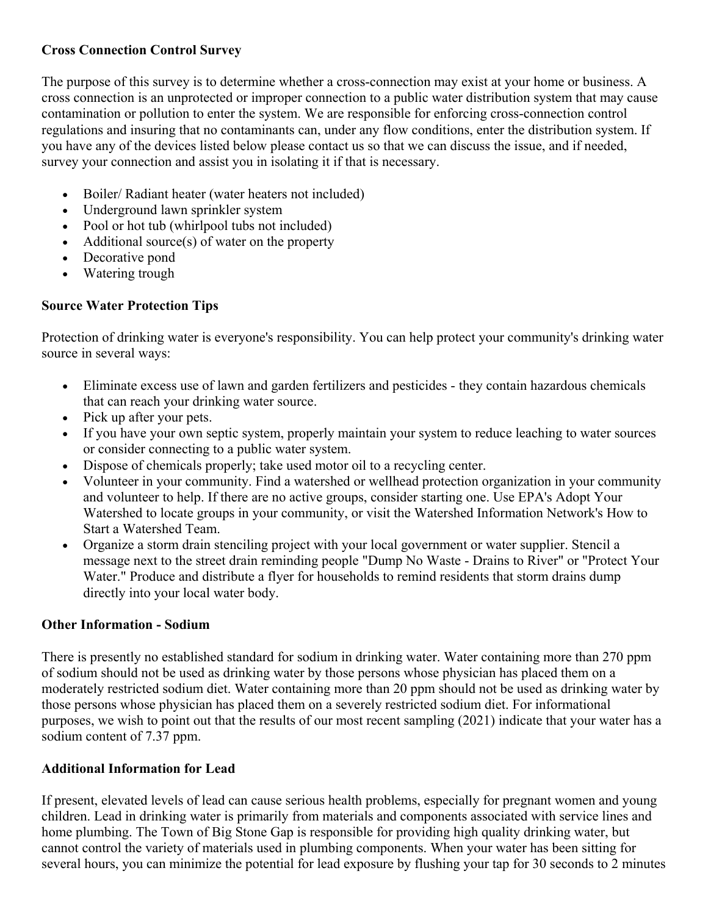# **Cross Connection Control Survey**

The purpose of this survey is to determine whether a cross-connection may exist at your home or business. A cross connection is an unprotected or improper connection to a public water distribution system that may cause contamination or pollution to enter the system. We are responsible for enforcing cross-connection control regulations and insuring that no contaminants can, under any flow conditions, enter the distribution system. If you have any of the devices listed below please contact us so that we can discuss the issue, and if needed, survey your connection and assist you in isolating it if that is necessary.

- Boiler/ Radiant heater (water heaters not included)
- Underground lawn sprinkler system
- Pool or hot tub (whirlpool tubs not included)
- Additional source(s) of water on the property
- Decorative pond
- Watering trough

# **Source Water Protection Tips**

Protection of drinking water is everyone's responsibility. You can help protect your community's drinking water source in several ways:

- Eliminate excess use of lawn and garden fertilizers and pesticides they contain hazardous chemicals that can reach your drinking water source.
- Pick up after your pets.
- If you have your own septic system, properly maintain your system to reduce leaching to water sources or consider connecting to a public water system.
- Dispose of chemicals properly; take used motor oil to a recycling center.
- Volunteer in your community. Find a watershed or wellhead protection organization in your community and volunteer to help. If there are no active groups, consider starting one. Use EPA's Adopt Your Watershed to locate groups in your community, or visit the Watershed Information Network's How to Start a Watershed Team.
- Organize a storm drain stenciling project with your local government or water supplier. Stencil a message next to the street drain reminding people "Dump No Waste - Drains to River" or "Protect Your Water." Produce and distribute a flyer for households to remind residents that storm drains dump directly into your local water body.

### **Other Information - Sodium**

There is presently no established standard for sodium in drinking water. Water containing more than 270 ppm of sodium should not be used as drinking water by those persons whose physician has placed them on a moderately restricted sodium diet. Water containing more than 20 ppm should not be used as drinking water by those persons whose physician has placed them on a severely restricted sodium diet. For informational purposes, we wish to point out that the results of our most recent sampling (2021) indicate that your water has a sodium content of 7.37 ppm.

### **Additional Information for Lead**

If present, elevated levels of lead can cause serious health problems, especially for pregnant women and young children. Lead in drinking water is primarily from materials and components associated with service lines and home plumbing. The Town of Big Stone Gap is responsible for providing high quality drinking water, but cannot control the variety of materials used in plumbing components. When your water has been sitting for several hours, you can minimize the potential for lead exposure by flushing your tap for 30 seconds to 2 minutes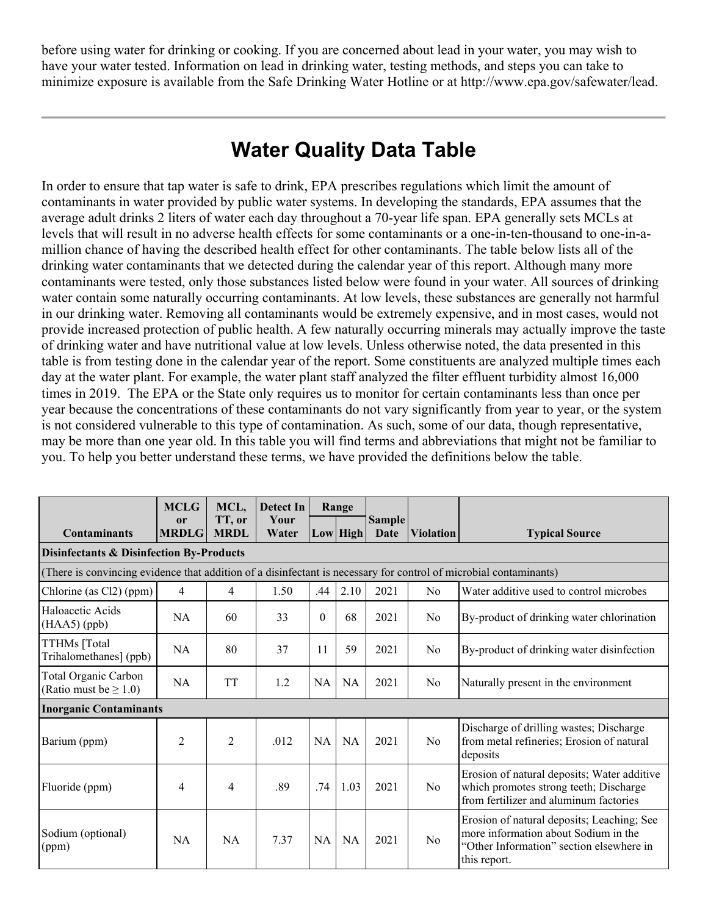before using water for drinking or cooking. If you are concerned about lead in your water, you may wish to have your water tested. Information on lead in drinking water, testing methods, and steps you can take to minimize exposure is available from the Safe Drinking Water Hotline or at http://www.epa.gov/safewater/lead.

# **Water Quality Data Table**

In order to ensure that tap water is safe to drink, EPA prescribes regulations which limit the amount of contaminants in water provided by public water systems. In developing the standards, EPA assumes that the average adult drinks 2 liters of water each day throughout a 70-year life span. EPA generally sets MCLs at levels that will result in no adverse health effects for some contaminants or a one-in-ten-thousand to one-in-amillion chance of having the described health effect for other contaminants. The table below lists all of the drinking water contaminants that we detected during the calendar year of this report. Although many more contaminants were tested, only those substances listed below were found in your water. All sources of drinking water contain some naturally occurring contaminants. At low levels, these substances are generally not harmful in our drinking water. Removing all contaminants would be extremely expensive, and in most cases, would not provide increased protection of public health. A few naturally occurring minerals may actually improve the taste of drinking water and have nutritional value at low levels. Unless otherwise noted, the data presented in this table is from testing done in the calendar year of the report. Some constituents are analyzed multiple times each day at the water plant. For example, the water plant staff analyzed the filter effluent turbidity almost 16,000 times in 2019. The EPA or the State only requires us to monitor for certain contaminants less than once per year because the concentrations of these contaminants do not vary significantly from year to year, or the system is not considered vulnerable to this type of contamination. As such, some of our data, though representative, may be more than one year old. In this table you will find terms and abbreviations that might not be familiar to you. To help you better understand these terms, we have provided the definitions below the table.

|                                                                                                                   | <b>MCLG</b>                   | MCL,                  | <b>Detect In</b> |           | Range      |                       |                  |                                                                                                                                                |
|-------------------------------------------------------------------------------------------------------------------|-------------------------------|-----------------------|------------------|-----------|------------|-----------------------|------------------|------------------------------------------------------------------------------------------------------------------------------------------------|
| <b>Contaminants</b>                                                                                               | <sub>or</sub><br><b>MRDLG</b> | TT, or<br><b>MRDL</b> | Your<br>Water    |           | $Low$ High | <b>Sample</b><br>Date | <b>Violation</b> | <b>Typical Source</b>                                                                                                                          |
| <b>Disinfectants &amp; Disinfection By-Products</b>                                                               |                               |                       |                  |           |            |                       |                  |                                                                                                                                                |
| (There is convincing evidence that addition of a disinfectant is necessary for control of microbial contaminants) |                               |                       |                  |           |            |                       |                  |                                                                                                                                                |
| Chlorine (as Cl2) (ppm)                                                                                           | 4                             | 4                     | 1.50             | .44       | 2.10       | 2021                  | N <sub>0</sub>   | Water additive used to control microbes                                                                                                        |
| Haloacetic Acids<br>$(HAA5)$ (ppb)                                                                                | <b>NA</b>                     | 60                    | 33               | $\Omega$  | 68         | 2021                  | N <sub>o</sub>   | By-product of drinking water chlorination                                                                                                      |
| TTHMs [Total<br>Trihalomethanes] (ppb)                                                                            | <b>NA</b>                     | 80                    | 37               | 11        | 59         | 2021                  | N <sub>0</sub>   | By-product of drinking water disinfection                                                                                                      |
| Total Organic Carbon<br>(Ratio must be $\geq 1.0$ )                                                               | <b>NA</b>                     | <b>TT</b>             | 1.2              | <b>NA</b> | <b>NA</b>  | 2021                  | N <sub>o</sub>   | Naturally present in the environment                                                                                                           |
|                                                                                                                   | <b>Inorganic Contaminants</b> |                       |                  |           |            |                       |                  |                                                                                                                                                |
| Barium (ppm)                                                                                                      | $\overline{c}$                | $\overline{2}$        | .012             | NA        | <b>NA</b>  | 2021                  | N <sub>o</sub>   | Discharge of drilling wastes; Discharge<br>from metal refineries; Erosion of natural<br>deposits                                               |
| Fluoride (ppm)                                                                                                    | 4                             | 4                     | .89              | .74       | 1.03       | 2021                  | N <sub>o</sub>   | Erosion of natural deposits; Water additive<br>which promotes strong teeth; Discharge<br>from fertilizer and aluminum factories                |
| Sodium (optional)<br>(ppm)                                                                                        | NA                            | <b>NA</b>             | 7.37             | <b>NA</b> | <b>NA</b>  | 2021                  | No               | Erosion of natural deposits; Leaching; See<br>more information about Sodium in the<br>"Other Information" section elsewhere in<br>this report. |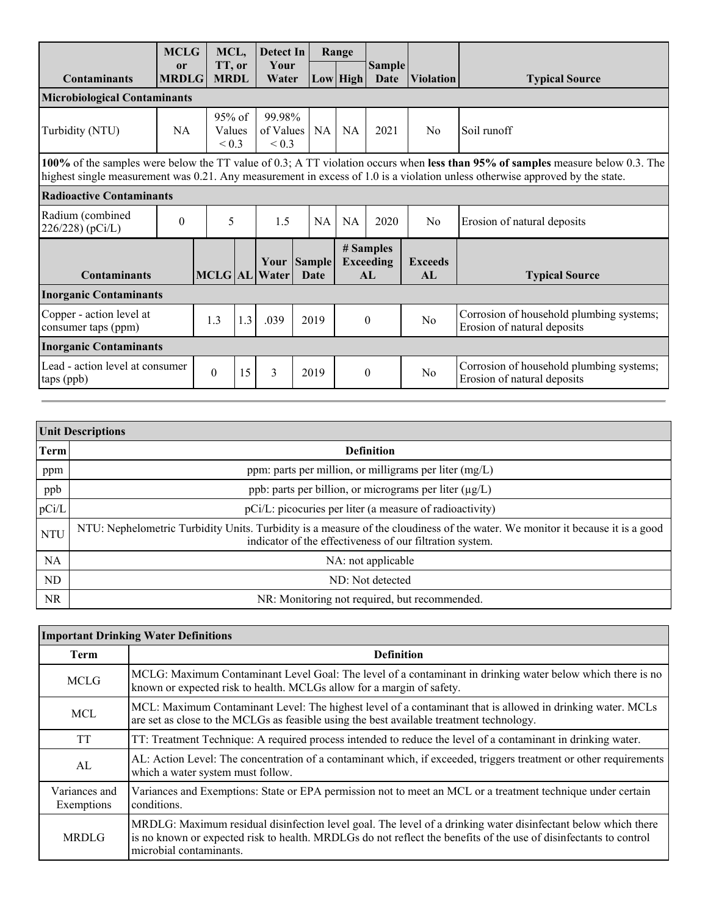|                                                                                                                                                                                                                                                                | <b>MCLG</b>        | MCL,                             |     | Detect In                         |                       | Range     |                                      |                                |                                                                         |
|----------------------------------------------------------------------------------------------------------------------------------------------------------------------------------------------------------------------------------------------------------------|--------------------|----------------------------------|-----|-----------------------------------|-----------------------|-----------|--------------------------------------|--------------------------------|-------------------------------------------------------------------------|
| <b>Contaminants</b>                                                                                                                                                                                                                                            | or<br><b>MRDLG</b> | TT, or<br><b>MRDL</b>            |     | Your<br>Water                     |                       | Low High  | <b>Sample</b><br>Date                | <i><u><b>Niolation</b></u></i> | <b>Typical Source</b>                                                   |
| <b>Microbiological Contaminants</b>                                                                                                                                                                                                                            |                    |                                  |     |                                   |                       |           |                                      |                                |                                                                         |
| Turbidity (NTU)                                                                                                                                                                                                                                                | <b>NA</b>          | $95%$ of<br>Values<br>${}_{0.3}$ |     | 99.98%<br>of Values<br>${}_{0.3}$ | NA                    | <b>NA</b> | 2021                                 | N <sub>0</sub>                 | Soil runoff                                                             |
| 100% of the samples were below the TT value of 0.3; A TT violation occurs when less than 95% of samples measure below 0.3. The<br>highest single measurement was 0.21. Any measurement in excess of 1.0 is a violation unless otherwise approved by the state. |                    |                                  |     |                                   |                       |           |                                      |                                |                                                                         |
| <b>Radioactive Contaminants</b>                                                                                                                                                                                                                                |                    |                                  |     |                                   |                       |           |                                      |                                |                                                                         |
| Radium (combined<br>226/228) (pCi/L)                                                                                                                                                                                                                           | $\theta$           | 5                                |     | 1.5                               | NA                    | <b>NA</b> | 2020                                 | N <sub>0</sub>                 | Erosion of natural deposits                                             |
| <b>Contaminants</b>                                                                                                                                                                                                                                            |                    |                                  |     | Your<br>MCLG AL Water             | <b>Sample</b><br>Date |           | # Samples<br><b>Exceeding</b><br>AI. | <b>Exceeds</b><br>AI.          | <b>Typical Source</b>                                                   |
| <b>Inorganic Contaminants</b>                                                                                                                                                                                                                                  |                    |                                  |     |                                   |                       |           |                                      |                                |                                                                         |
| Copper - action level at<br>consumer taps (ppm)                                                                                                                                                                                                                |                    | 1.3                              | 1.3 | .039                              | 2019                  | $\Omega$  |                                      | N <sub>0</sub>                 | Corrosion of household plumbing systems;<br>Erosion of natural deposits |
| <b>Inorganic Contaminants</b>                                                                                                                                                                                                                                  |                    |                                  |     |                                   |                       |           |                                      |                                |                                                                         |
| Lead - action level at consumer<br>taps (ppb)                                                                                                                                                                                                                  |                    | $\theta$                         | 15  | 3                                 | 2019                  |           | $\Omega$                             | N <sub>0</sub>                 | Corrosion of household plumbing systems;<br>Erosion of natural deposits |

| <b>Unit Descriptions</b> |                                                                                                                                                                                           |  |  |  |  |
|--------------------------|-------------------------------------------------------------------------------------------------------------------------------------------------------------------------------------------|--|--|--|--|
| <b>Term</b>              | <b>Definition</b>                                                                                                                                                                         |  |  |  |  |
| ppm                      | ppm: parts per million, or milligrams per liter (mg/L)                                                                                                                                    |  |  |  |  |
| ppb                      | ppb: parts per billion, or micrograms per liter (µg/L)                                                                                                                                    |  |  |  |  |
| pCi/L                    | pCi/L: picocuries per liter (a measure of radioactivity)                                                                                                                                  |  |  |  |  |
| <b>NTU</b>               | NTU: Nephelometric Turbidity Units. Turbidity is a measure of the cloudiness of the water. We monitor it because it is a good<br>indicator of the effectiveness of our filtration system. |  |  |  |  |
| <b>NA</b>                | NA: not applicable                                                                                                                                                                        |  |  |  |  |
| ND                       | ND: Not detected                                                                                                                                                                          |  |  |  |  |
| <b>NR</b>                | NR: Monitoring not required, but recommended.                                                                                                                                             |  |  |  |  |

| <b>Important Drinking Water Definitions</b> |                                                                                                                                                                                                                                                               |  |  |  |
|---------------------------------------------|---------------------------------------------------------------------------------------------------------------------------------------------------------------------------------------------------------------------------------------------------------------|--|--|--|
| Term                                        | <b>Definition</b>                                                                                                                                                                                                                                             |  |  |  |
| <b>MCLG</b>                                 | MCLG: Maximum Contaminant Level Goal: The level of a contaminant in drinking water below which there is no<br>known or expected risk to health. MCLGs allow for a margin of safety.                                                                           |  |  |  |
| <b>MCL</b>                                  | MCL: Maximum Contaminant Level: The highest level of a contaminant that is allowed in drinking water. MCLs<br>are set as close to the MCLGs as feasible using the best available treatment technology.                                                        |  |  |  |
| <b>TT</b>                                   | TT: Treatment Technique: A required process intended to reduce the level of a contaminant in drinking water.                                                                                                                                                  |  |  |  |
| AL                                          | AL: Action Level: The concentration of a contaminant which, if exceeded, triggers treatment or other requirements<br>which a water system must follow.                                                                                                        |  |  |  |
| Variances and<br>Exemptions                 | Variances and Exemptions: State or EPA permission not to meet an MCL or a treatment technique under certain<br>conditions.                                                                                                                                    |  |  |  |
| <b>MRDLG</b>                                | MRDLG: Maximum residual disinfection level goal. The level of a drinking water disinfectant below which there<br>is no known or expected risk to health. MRDLGs do not reflect the benefits of the use of disinfectants to control<br>microbial contaminants. |  |  |  |